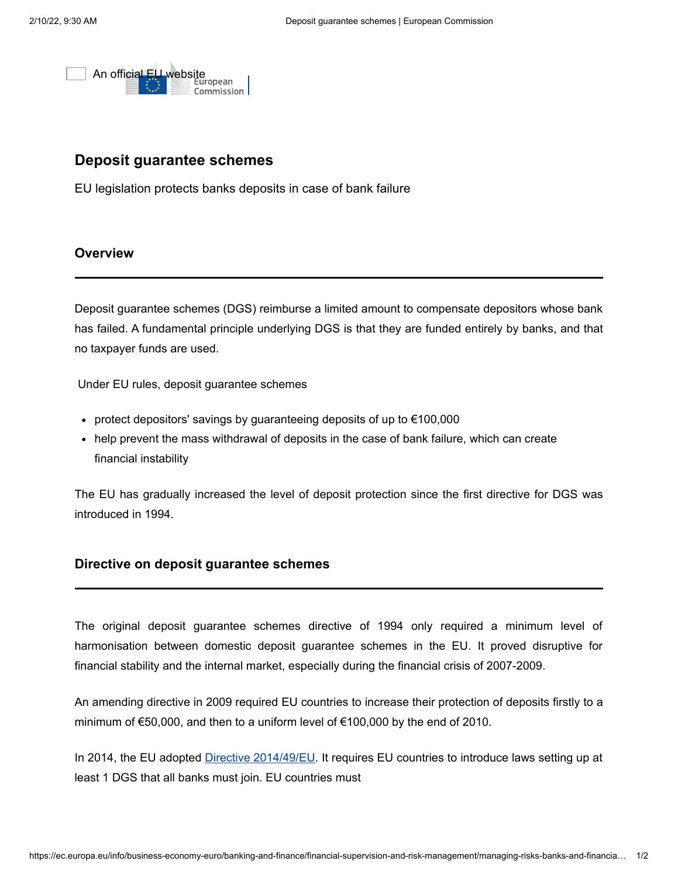

## **Deposit guarantee schemes**

EU legislation protects banks deposits in case of bank failure

## **Overview**

Deposit guarantee schemes (DGS) reimburse a limited amount to compensate depositors whose bank has failed. A fundamental principle underlying DGS is that they are funded entirely by banks, and that no taxpayer funds are used.

Under EU rules, deposit guarantee schemes

- protect depositors' savings by quaranteeing deposits of up to  $€100,000$
- help prevent the mass withdrawal of deposits in the case of bank failure, which can create financial instability

The EU has gradually increased the level of deposit protection since the first directive for DGS was introduced in 1994.

## **Directive on deposit guarantee schemes**

The original deposit guarantee schemes directive of 1994 only required a minimum level of harmonisation between domestic deposit guarantee schemes in the EU. It proved disruptive for financial stability and the internal market, especially during the financial crisis of 2007-2009.

An amending directive in 2009 required EU countries to increase their protection of deposits firstly to a minimum of €50,000, and then to a uniform level of €100,000 by the end of 2010.

In 2014, the EU adopted [Directive 2014/49/EU](https://ec.europa.eu/info/law/deposit-guarantee-schemes-directive-2014-49-eu_en). It requires EU countries to introduce laws setting up at least 1 DGS that all banks must join. EU countries must